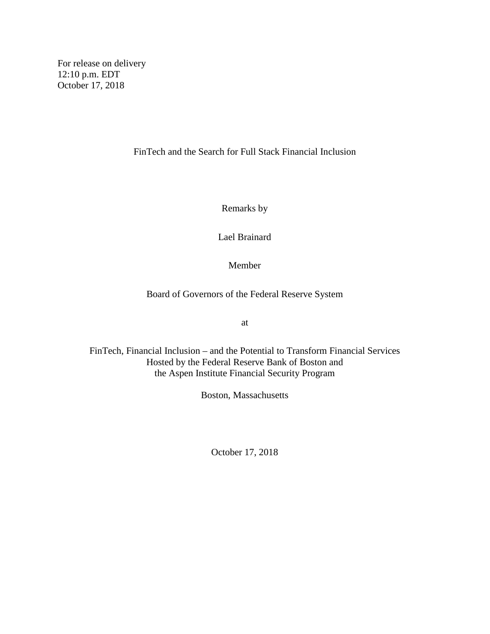For release on delivery 12:10 p.m. EDT October 17, 2018

FinTech and the Search for Full Stack Financial Inclusion

Remarks by

Lael Brainard

Member

Board of Governors of the Federal Reserve System

at

FinTech, Financial Inclusion – and the Potential to Transform Financial Services Hosted by the Federal Reserve Bank of Boston and the Aspen Institute Financial Security Program

Boston, Massachusetts

October 17, 2018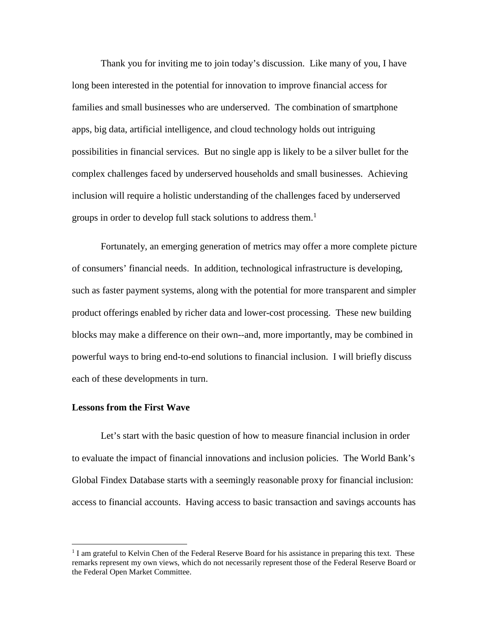Thank you for inviting me to join today's discussion. Like many of you, I have long been interested in the potential for innovation to improve financial access for families and small businesses who are underserved. The combination of smartphone apps, big data, artificial intelligence, and cloud technology holds out intriguing possibilities in financial services. But no single app is likely to be a silver bullet for the complex challenges faced by underserved households and small businesses. Achieving inclusion will require a holistic understanding of the challenges faced by underserved groups in order to develop full stack solutions to address them.<sup>1</sup>

Fortunately, an emerging generation of metrics may offer a more complete picture of consumers' financial needs. In addition, technological infrastructure is developing, such as faster payment systems, along with the potential for more transparent and simpler product offerings enabled by richer data and lower-cost processing. These new building blocks may make a difference on their own--and, more importantly, may be combined in powerful ways to bring end-to-end solutions to financial inclusion. I will briefly discuss each of these developments in turn.

## **Lessons from the First Wave**

Let's start with the basic question of how to measure financial inclusion in order to evaluate the impact of financial innovations and inclusion policies. The World Bank's Global Findex Database starts with a seemingly reasonable proxy for financial inclusion: access to financial accounts. Having access to basic transaction and savings accounts has

<sup>&</sup>lt;sup>1</sup> I am grateful to Kelvin Chen of the Federal Reserve Board for his assistance in preparing this text. These remarks represent my own views, which do not necessarily represent those of the Federal Reserve Board or the Federal Open Market Committee.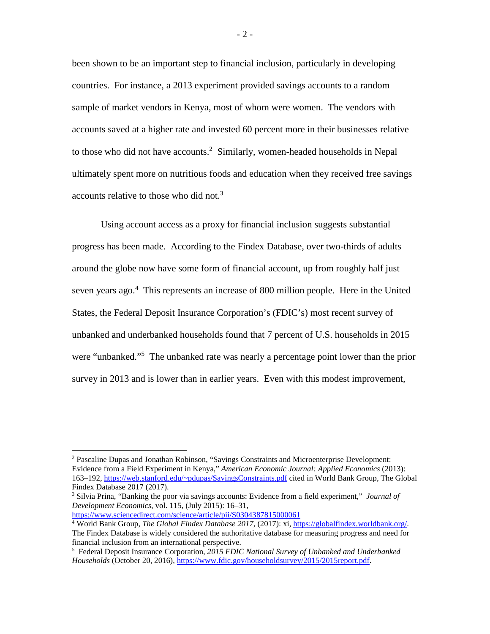been shown to be an important step to financial inclusion, particularly in developing countries. For instance, a 2013 experiment provided savings accounts to a random sample of market vendors in Kenya, most of whom were women. The vendors with accounts saved at a higher rate and invested 60 percent more in their businesses relative to those who did not have accounts. <sup>2</sup> Similarly, women-headed households in Nepal ultimately spent more on nutritious foods and education when they received free savings accounts relative to those who did not. 3

Using account access as a proxy for financial inclusion suggests substantial progress has been made. According to the Findex Database, over two-thirds of adults around the globe now have some form of financial account, up from roughly half just seven years ago.<sup>4</sup> This represents an increase of 800 million people. Here in the United States, the Federal Deposit Insurance Corporation's (FDIC's) most recent survey of unbanked and underbanked households found that 7 percent of U.S. households in 2015 were "unbanked."<sup>5</sup> The unbanked rate was nearly a percentage point lower than the prior survey in 2013 and is lower than in earlier years. Even with this modest improvement,

<https://www.sciencedirect.com/science/article/pii/S0304387815000061>

- 2 -

 <sup>2</sup> Pascaline Dupas and Jonathan Robinson, "Savings Constraints and Microenterprise Development: Evidence from a Field Experiment in Kenya," *American Economic Journal: Applied Economics* (2013): 163–192, [https://web.stanford.edu/~pdupas/SavingsConstraints.pdf](https://web.stanford.edu/%7Epdupas/SavingsConstraints.pdf) cited in World Bank Group, The Global Findex Database 2017 (2017).

<sup>3</sup> Silvia Prina, "Banking the poor via savings accounts: Evidence from a field experiment," *Journal of Development Economics*, vol. 115, (July 2015): 16–31,

<sup>4</sup> World Bank Group, *The Global Findex Database 2017*, (2017): xi, [https://globalfindex.worldbank.org/.](https://globalfindex.worldbank.org/) The Findex Database is widely considered the authoritative database for measuring progress and need for financial inclusion from an international perspective.

<sup>5</sup> Federal Deposit Insurance Corporation, *2015 FDIC National Survey of Unbanked and Underbanked Households* (October 20, 2016), [https://www.fdic.gov/householdsurvey/2015/2015report.pdf.](https://www.fdic.gov/householdsurvey/2015/2015report.pdf)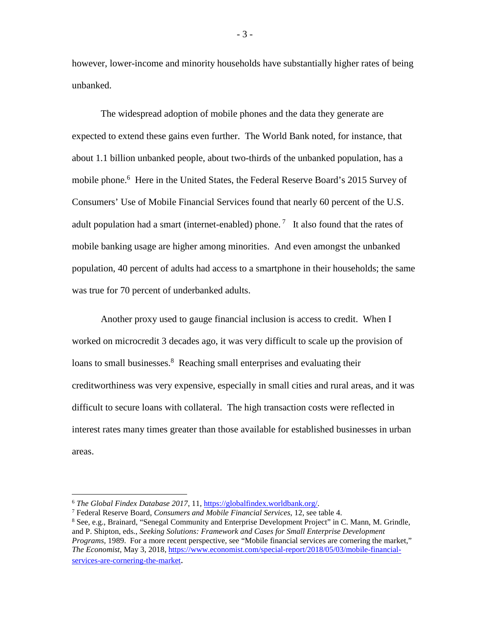however, lower-income and minority households have substantially higher rates of being unbanked.

The widespread adoption of mobile phones and the data they generate are expected to extend these gains even further. The World Bank noted, for instance, that about 1.1 billion unbanked people, about two-thirds of the unbanked population, has a mobile phone.<sup>6</sup> Here in the United States, the Federal Reserve Board's 2015 Survey of Consumers' Use of Mobile Financial Services found that nearly 60 percent of the U.S. adult population had a smart (internet-enabled) phone.<sup>7</sup> It also found that the rates of mobile banking usage are higher among minorities. And even amongst the unbanked population, 40 percent of adults had access to a smartphone in their households; the same was true for 70 percent of underbanked adults.

Another proxy used to gauge financial inclusion is access to credit. When I worked on microcredit 3 decades ago, it was very difficult to scale up the provision of loans to small businesses.<sup>8</sup> Reaching small enterprises and evaluating their creditworthiness was very expensive, especially in small cities and rural areas, and it was difficult to secure loans with collateral. The high transaction costs were reflected in interest rates many times greater than those available for established businesses in urban areas.

- 3 -

 <sup>6</sup> *The Global Findex Database 2017*, 11, [https://globalfindex.worldbank.org/.](https://globalfindex.worldbank.org/)

<sup>7</sup> Federal Reserve Board, *Consumers and Mobile Financial Services*, 12, see table 4. <sup>8</sup> See, e.g., Brainard, "Senegal Community and Enterprise Development Project" in C. Mann, M. Grindle, and P. Shipton, eds., *Seeking Solutions: Framework and Cases for Small Enterprise Development Programs,* 1989. For a more recent perspective, see "Mobile financial services are cornering the market," *The Economist*, May 3, 2018[, https://www.economist.com/special-report/2018/05/03/mobile-financial](https://www.economist.com/special-report/2018/05/03/mobile-financial-services-are-cornering-the-market)[services-are-cornering-the-market.](https://www.economist.com/special-report/2018/05/03/mobile-financial-services-are-cornering-the-market)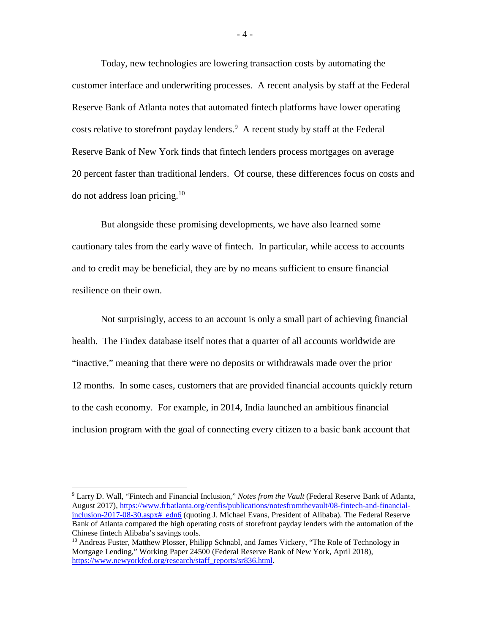Today, new technologies are lowering transaction costs by automating the customer interface and underwriting processes. A recent analysis by staff at the Federal Reserve Bank of Atlanta notes that automated fintech platforms have lower operating costs relative to storefront payday lenders. <sup>9</sup> A recent study by staff at the Federal Reserve Bank of New York finds that fintech lenders process mortgages on average 20 percent faster than traditional lenders. Of course, these differences focus on costs and do not address loan pricing.<sup>10</sup>

But alongside these promising developments, we have also learned some cautionary tales from the early wave of fintech. In particular, while access to accounts and to credit may be beneficial, they are by no means sufficient to ensure financial resilience on their own.

Not surprisingly, access to an account is only a small part of achieving financial health. The Findex database itself notes that a quarter of all accounts worldwide are "inactive," meaning that there were no deposits or withdrawals made over the prior 12 months. In some cases, customers that are provided financial accounts quickly return to the cash economy. For example, in 2014, India launched an ambitious financial inclusion program with the goal of connecting every citizen to a basic bank account that

 <sup>9</sup> Larry D. Wall, "Fintech and Financial Inclusion," *Notes from the Vault* (Federal Reserve Bank of Atlanta, August 2017)[, https://www.frbatlanta.org/cenfis/publications/notesfromthevault/08-fintech-and-financial](https://www.frbatlanta.org/cenfis/publications/notesfromthevault/08-fintech-and-financial-inclusion-2017-08-30.aspx#_edn6)inclusion-2017-08-30.aspx# edn6 (quoting J. Michael Evans, President of Alibaba). The Federal Reserve Bank of Atlanta compared the high operating costs of storefront payday lenders with the automation of the Chinese fintech Alibaba's savings tools.

<sup>&</sup>lt;sup>10</sup> Andreas Fuster, Matthew Plosser, Philipp Schnabl, and James Vickery, "The Role of Technology in Mortgage Lending," Working Paper 24500 (Federal Reserve Bank of New York, April 2018), https://www.newyorkfed.org/research/staff\_reports/sr836.html.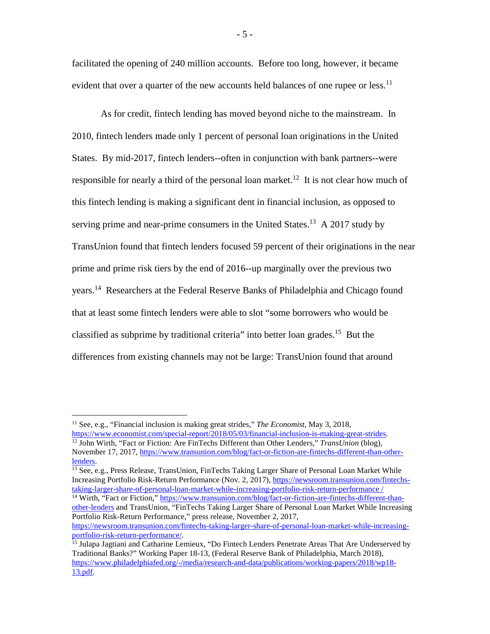facilitated the opening of 240 million accounts. Before too long, however, it became evident that over a quarter of the new accounts held balances of one rupee or less.<sup>11</sup>

As for credit, fintech lending has moved beyond niche to the mainstream. In 2010, fintech lenders made only 1 percent of personal loan originations in the United States. By mid-2017, fintech lenders--often in conjunction with bank partners--were responsible for nearly a third of the personal loan market.<sup>12</sup> It is not clear how much of this fintech lending is making a significant dent in financial inclusion, as opposed to serving prime and near-prime consumers in the United States.<sup>13</sup> A 2017 study by TransUnion found that fintech lenders focused 59 percent of their originations in the near prime and prime risk tiers by the end of 2016--up marginally over the previous two years. <sup>14</sup> Researchers at the Federal Reserve Banks of Philadelphia and Chicago found that at least some fintech lenders were able to slot "some borrowers who would be classified as subprime by traditional criteria" into better loan grades.<sup>15</sup> But the differences from existing channels may not be large: TransUnion found that around

<sup>14</sup> Wirth, "Fact or Fiction," [https://www.transunion.com/blog/fact-or-fiction-are-fintechs-different-than](https://www.transunion.com/blog/fact-or-fiction-are-fintechs-different-than-other-lenders)[other-lenders](https://www.transunion.com/blog/fact-or-fiction-are-fintechs-different-than-other-lenders) and TransUnion, "FinTechs Taking Larger Share of Personal Loan Market While Increasing Portfolio Risk-Return Performance," press release, November 2, 2017,

- 5 -

<sup>&</sup>lt;sup>11</sup> See, e.g., "Financial inclusion is making great strides," *The Economist*, May 3, 2018,<br>https://www.economist.com/special-report/2018/05/03/financial-inclusion-is-making-great-strides.

<sup>&</sup>lt;sup>12</sup> John Wirth, "Fact or Fiction: Are FinTechs Different than Other Lenders," *TransUnion* (blog), November 17, 2017, https://www.transunion.com/blog/fact-or-fiction-are-fintechs-different-than-other-<br>lenders.

<sup>&</sup>lt;sup>13</sup> See, e.g., Press Release, TransUnion, FinTechs Taking Larger Share of Personal Loan Market While Increasing Portfolio Risk-Return Performance (Nov. 2, 2017), [https://newsroom.transunion.com/fintechs](https://newsroom.transunion.com/fintechs-taking-larger-share-of-personal-loan-market-while-increasing-portfolio-risk-return-performance%20/)[taking-larger-share-of-personal-loan-market-while-increasing-portfolio-risk-return-performance /](https://newsroom.transunion.com/fintechs-taking-larger-share-of-personal-loan-market-while-increasing-portfolio-risk-return-performance%20/)

[https://newsroom.transunion.com/fintechs-taking-larger-share-of-personal-loan-market-while-increasing-](https://newsroom.transunion.com/fintechs-taking-larger-share-of-personal-loan-market-while-increasing-portfolio-risk-return-performance/)

<sup>&</sup>lt;sup>15</sup> Julapa Jagtiani and Catharine Lemieux, "Do Fintech Lenders Penetrate Areas That Are Underserved by Traditional Banks?" Working Paper 18-13, (Federal Reserve Bank of Philadelphia, March 2018), [https://www.philadelphiafed.org/-/media/research-and-data/publications/working-papers/2018/wp18-](https://www.philadelphiafed.org/-/media/research-and-data/publications/working-papers/2018/wp18-13.pdf) [13.pdf.](https://www.philadelphiafed.org/-/media/research-and-data/publications/working-papers/2018/wp18-13.pdf)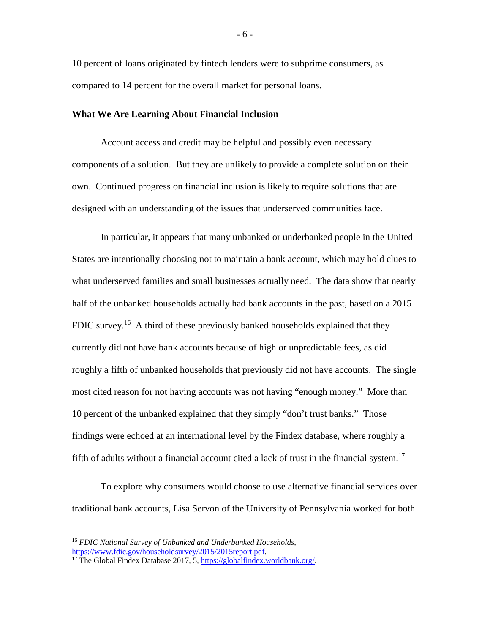10 percent of loans originated by fintech lenders were to subprime consumers, as compared to 14 percent for the overall market for personal loans.

## **What We Are Learning About Financial Inclusion**

Account access and credit may be helpful and possibly even necessary components of a solution. But they are unlikely to provide a complete solution on their own. Continued progress on financial inclusion is likely to require solutions that are designed with an understanding of the issues that underserved communities face.

In particular, it appears that many unbanked or underbanked people in the United States are intentionally choosing not to maintain a bank account, which may hold clues to what underserved families and small businesses actually need. The data show that nearly half of the unbanked households actually had bank accounts in the past, based on a 2015 FDIC survey.<sup>16</sup> A third of these previously banked households explained that they currently did not have bank accounts because of high or unpredictable fees, as did roughly a fifth of unbanked households that previously did not have accounts. The single most cited reason for not having accounts was not having "enough money." More than 10 percent of the unbanked explained that they simply "don't trust banks." Those findings were echoed at an international level by the Findex database, where roughly a fifth of adults without a financial account cited a lack of trust in the financial system.<sup>17</sup>

To explore why consumers would choose to use alternative financial services over traditional bank accounts, Lisa Servon of the University of Pennsylvania worked for both

<sup>&</sup>lt;sup>16</sup> *FDIC National Survey of Unbanked and Underbanked Households*, https://www.fdic.gov/householdsurvey/2015/2015report.pdf.

<sup>&</sup>lt;sup>17</sup> The Global Findex Database 2017, 5, [https://globalfindex.worldbank.org/.](https://globalfindex.worldbank.org/)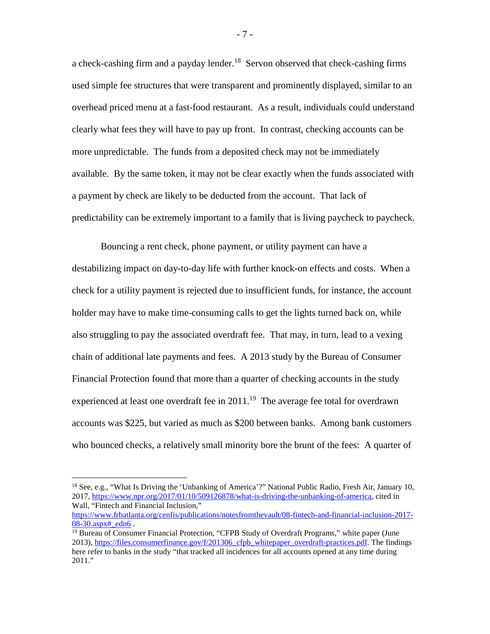a check-cashing firm and a payday lender.<sup>18</sup> Servon observed that check-cashing firms used simple fee structures that were transparent and prominently displayed, similar to an overhead priced menu at a fast-food restaurant. As a result, individuals could understand clearly what fees they will have to pay up front. In contrast, checking accounts can be more unpredictable. The funds from a deposited check may not be immediately available. By the same token, it may not be clear exactly when the funds associated with a payment by check are likely to be deducted from the account. That lack of predictability can be extremely important to a family that is living paycheck to paycheck.

Bouncing a rent check, phone payment, or utility payment can have a destabilizing impact on day-to-day life with further knock-on effects and costs. When a check for a utility payment is rejected due to insufficient funds, for instance, the account holder may have to make time-consuming calls to get the lights turned back on, while also struggling to pay the associated overdraft fee. That may, in turn, lead to a vexing chain of additional late payments and fees. A 2013 study by the Bureau of Consumer Financial Protection found that more than a quarter of checking accounts in the study experienced at least one overdraft fee in  $2011$ .<sup>19</sup> The average fee total for overdrawn accounts was \$225, but varied as much as \$200 between banks. Among bank customers who bounced checks, a relatively small minority bore the brunt of the fees: A quarter of

- 7 -

<sup>&</sup>lt;sup>18</sup> See, e.g., "What Is Driving the 'Unbanking of America'?" National Public Radio, Fresh Air, January 10, 2017, [https://www.npr.org/2017/01/10/509126878/what-is-driving-the-unbanking-of-america,](https://www.npr.org/2017/01/10/509126878/what-is-driving-the-unbanking-of-america) cited in Wall, "Fintech and Financial Inclusion,"

[https://www.frbatlanta.org/cenfis/publications/notesfromthevault/08-fintech-and-financial-inclusion-2017-](https://www.frbatlanta.org/cenfis/publications/notesfromthevault/08-fintech-and-financial-inclusion-2017-08-30.aspx#_edn6)  $08-30.$ aspx# edn6.

<sup>&</sup>lt;sup>19</sup> Bureau of Consumer Financial Protection, "CFPB Study of Overdraft Programs," white paper (June 2013), [https://files.consumerfinance.gov/f/201306\\_cfpb\\_whitepaper\\_overdraft-practices.pdf.](https://files.consumerfinance.gov/f/201306_cfpb_whitepaper_overdraft-practices.pdf) The findings here refer to banks in the study "that tracked all incidences for all accounts opened at any time during 2011."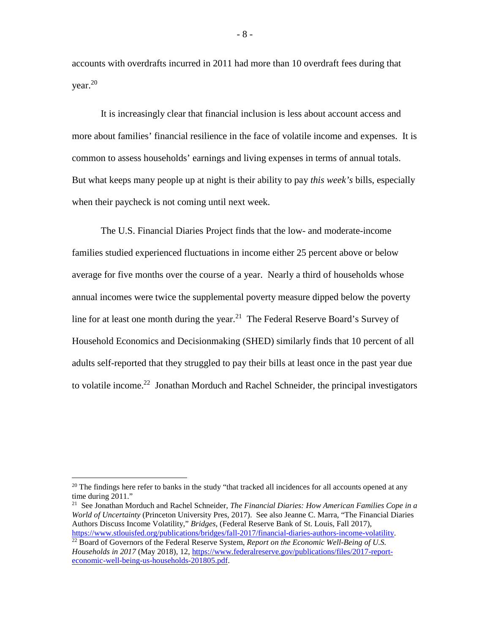accounts with overdrafts incurred in 2011 had more than 10 overdraft fees during that year.<sup>20</sup>

It is increasingly clear that financial inclusion is less about account access and more about families' financial resilience in the face of volatile income and expenses. It is common to assess households' earnings and living expenses in terms of annual totals. But what keeps many people up at night is their ability to pay *this week's* bills, especially when their paycheck is not coming until next week.

The U.S. Financial Diaries Project finds that the low- and moderate-income families studied experienced fluctuations in income either 25 percent above or below average for five months over the course of a year. Nearly a third of households whose annual incomes were twice the supplemental poverty measure dipped below the poverty line for at least one month during the year.<sup>21</sup> The Federal Reserve Board's Survey of Household Economics and Decisionmaking (SHED) similarly finds that 10 percent of all adults self-reported that they struggled to pay their bills at least once in the past year due to volatile income.<sup>22</sup> Jonathan Morduch and Rachel Schneider, the principal investigators

<sup>&</sup>lt;sup>20</sup> The findings here refer to banks in the study "that tracked all incidences for all accounts opened at any time during 2011."

<sup>21</sup> See Jonathan Morduch and Rachel Schneider, *[The Financial Diaries: How American Families Cope in a](http://www.usfinancialdiaries.org/book/)  [World of Uncertainty](http://www.usfinancialdiaries.org/book/)* (Princeton University Pres, 2017). See also Jeanne C. Marra, "The Financial Diaries Authors Discuss Income Volatility," *Bridges*, (Federal Reserve Bank of St. Louis, Fall 2017), https://www.stlouisfed.org/publications/bridges/fall-2017/financial-diaries-authors-income-volatility.

<sup>&</sup>lt;sup>22</sup> Board of Governors of the Federal Reserve System, *Report on the Economic Well-Being of U.S. Households in 2017* (May 2018), 12, [https://www.federalreserve.gov/publications/files/2017-report](https://www.federalreserve.gov/publications/files/2017-report-economic-well-being-us-households-201805.pdf)[economic-well-being-us-households-201805.pdf.](https://www.federalreserve.gov/publications/files/2017-report-economic-well-being-us-households-201805.pdf)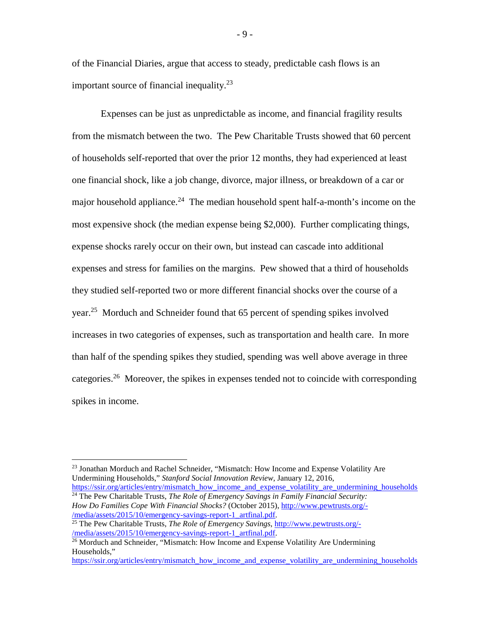of the Financial Diaries, argue that access to steady, predictable cash flows is an important source of financial inequality.<sup>23</sup>

Expenses can be just as unpredictable as income, and financial fragility results from the mismatch between the two. The Pew Charitable Trusts showed that 60 percent of households self-reported that over the prior 12 months, they had experienced at least one financial shock, like a job change, divorce, major illness, or breakdown of a car or major household appliance.<sup>24</sup> The median household spent half-a-month's income on the most expensive shock (the median expense being \$2,000). Further complicating things, expense shocks rarely occur on their own, but instead can cascade into additional expenses and stress for families on the margins. Pew showed that a third of households they studied self-reported two or more different financial shocks over the course of a year.<sup>25</sup> Morduch and Schneider found that 65 percent of spending spikes involved increases in two categories of expenses, such as transportation and health care. In more than half of the spending spikes they studied, spending was well above average in three categories.<sup>26</sup> Moreover, the spikes in expenses tended not to coincide with corresponding spikes in income.

[https://ssir.org/articles/entry/mismatch\\_how\\_income\\_and\\_expense\\_volatility\\_are\\_undermining\\_households](https://ssir.org/articles/entry/mismatch_how_income_and_expense_volatility_are_undermining_households) <sup>24</sup> The Pew Charitable Trusts, *The Role of Emergency Savings in Family Financial Security:*

*How Do Families Cope With Financial Shocks?* (October 2015)[, http://www.pewtrusts.org/-](http://www.pewtrusts.org/-/media/assets/2015/10/emergency-savings-report-1_artfinal.pdf)/media/assets/2015/10/emergency-savings-report-1 artfinal.pdf. <sup>25</sup> The Pew Charitable Trusts, *The Role of Emergency Savings*, http://www.pewtrusts.org/-<br>[/media/assets/2015/10/emergency-savings-report-1\\_artfinal.pdf.](http://www.pewtrusts.org/-/media/assets/2015/10/emergency-savings-report-1_artfinal.pdf)

- 9 -

 <sup>23</sup> Jonathan Morduch and Rachel Schneider, "Mismatch: How Income and Expense Volatility Are Undermining Households," *Stanford Social Innovation Review*, January 12, 2016,

<sup>&</sup>lt;sup>26</sup> Morduch and Schneider, "Mismatch: How Income and Expense Volatility Are Undermining Households,"

[https://ssir.org/articles/entry/mismatch\\_how\\_income\\_and\\_expense\\_volatility\\_are\\_undermining\\_households](https://ssir.org/articles/entry/mismatch_how_income_and_expense_volatility_are_undermining_households)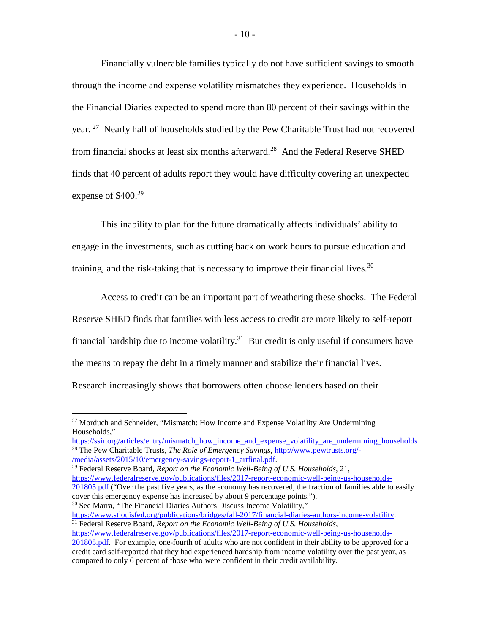Financially vulnerable families typically do not have sufficient savings to smooth through the income and expense volatility mismatches they experience. Households in the Financial Diaries expected to spend more than 80 percent of their savings within the year.<sup>27</sup> Nearly half of households studied by the Pew Charitable Trust had not recovered from financial shocks at least six months afterward.<sup>28</sup> And the Federal Reserve SHED finds that 40 percent of adults report they would have difficulty covering an unexpected expense of  $$400.<sup>29</sup>$ 

This inability to plan for the future dramatically affects individuals' ability to engage in the investments, such as cutting back on work hours to pursue education and training, and the risk-taking that is necessary to improve their financial lives.<sup>30</sup>

Access to credit can be an important part of weathering these shocks. The Federal Reserve SHED finds that families with less access to credit are more likely to self-report financial hardship due to income volatility.<sup>31</sup> But credit is only useful if consumers have the means to repay the debt in a timely manner and stabilize their financial lives. Research increasingly shows that borrowers often choose lenders based on their

[https://ssir.org/articles/entry/mismatch\\_how\\_income\\_and\\_expense\\_volatility\\_are\\_undermining\\_households](https://ssir.org/articles/entry/mismatch_how_income_and_expense_volatility_are_undermining_households) <sup>28</sup> The Pew Charitable Trusts, *The Role of Emergency Savings*, <u>http://www.pewtrusts.org/-</u><br>/media/assets/2015/10/emergency-savings-report-1 artfinal.pdf.

<sup>29</sup> Federal Reserve Board, *Report on the Economic Well-Being of U.S. Households*, 21, [https://www.federalreserve.gov/publications/files/2017-report-economic-well-being-us-households-](https://www.federalreserve.gov/publications/files/2017-report-economic-well-being-us-households-201805.pdf)[201805.pdf](https://www.federalreserve.gov/publications/files/2017-report-economic-well-being-us-households-201805.pdf) ("Over the past five years, as the economy has recovered, the fraction of families able to easily cover this emergency expense has increased by about 9 percentage points.").

<sup>30</sup> See Marra, "The Financial Diaries Authors Discuss Income Volatility,"<br>https://www.stlouisfed.org/publications/bridges/fall-2017/financial-diaries-authors-income-volatility. <sup>31</sup> Federal Reserve Board, *Report on the Economic Well-Being of U.S. Households*,

[https://www.federalreserve.gov/publications/files/2017-report-economic-well-being-us-households-](https://www.federalreserve.gov/publications/files/2017-report-economic-well-being-us-households-201805.pdf)

<sup>&</sup>lt;sup>27</sup> Morduch and Schneider, "Mismatch: How Income and Expense Volatility Are Undermining Households,"

[<sup>201805.</sup>pdf.](https://www.federalreserve.gov/publications/files/2017-report-economic-well-being-us-households-201805.pdf) For example, one-fourth of adults who are not confident in their ability to be approved for a credit card self-reported that they had experienced hardship from income volatility over the past year, as compared to only 6 percent of those who were confident in their credit availability.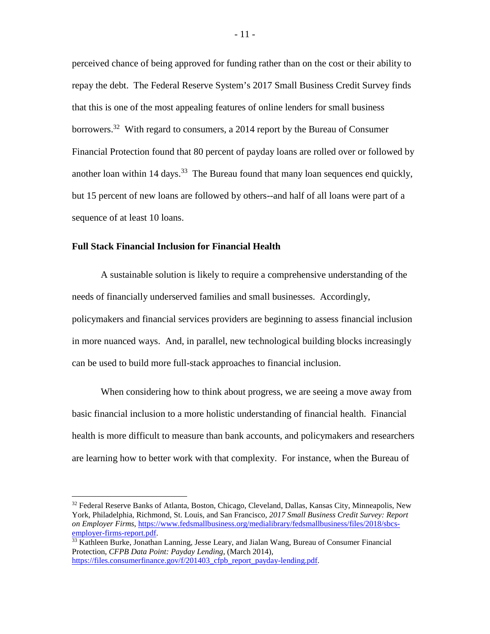perceived chance of being approved for funding rather than on the cost or their ability to repay the debt. The Federal Reserve System's 2017 Small Business Credit Survey finds that this is one of the most appealing features of online lenders for small business borrowers.<sup>32</sup> With regard to consumers, a 2014 report by the Bureau of Consumer Financial Protection found that 80 percent of payday loans are rolled over or followed by another loan within 14 days.<sup>33</sup> The Bureau found that many loan sequences end quickly, but 15 percent of new loans are followed by others--and half of all loans were part of a sequence of at least 10 loans.

## **Full Stack Financial Inclusion for Financial Health**

A sustainable solution is likely to require a comprehensive understanding of the needs of financially underserved families and small businesses. Accordingly, policymakers and financial services providers are beginning to assess financial inclusion in more nuanced ways. And, in parallel, new technological building blocks increasingly can be used to build more full-stack approaches to financial inclusion.

When considering how to think about progress, we are seeing a move away from basic financial inclusion to a more holistic understanding of financial health. Financial health is more difficult to measure than bank accounts, and policymakers and researchers are learning how to better work with that complexity. For instance, when the Bureau of

 $32$  Federal Reserve Banks of Atlanta, Boston, Chicago, Cleveland, Dallas, Kansas City, Minneapolis, New York, Philadelphia, Richmond, St. Louis, and San Francisco, *2017 Small Business Credit Survey: Report on Employer Firms*, https://www.fedsmallbusiness.org/medialibrary/fedsmallbusiness/files/2018/sbcs-<br>employer-firms-report.pdf.

 $^{33}$  Kathleen Burke, Jonathan Lanning, Jesse Leary, and Jialan Wang, Bureau of Consumer Financial Protection, *CFPB Data Point: Payday Lending*, (March 2014), [https://files.consumerfinance.gov/f/201403\\_cfpb\\_report\\_payday-lending.pdf.](https://files.consumerfinance.gov/f/201403_cfpb_report_payday-lending.pdf)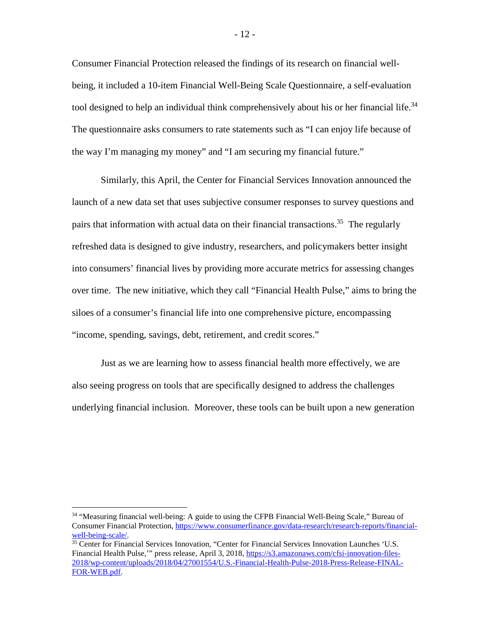Consumer Financial Protection released the findings of its research on financial wellbeing, it included a 10-item Financial Well-Being Scale Questionnaire, a self-evaluation tool designed to help an individual think comprehensively about his or her financial life.<sup>34</sup> The questionnaire asks consumers to rate statements such as "I can enjoy life because of the way I'm managing my money" and "I am securing my financial future."

Similarly, this April, the Center for Financial Services Innovation announced the launch of a new data set that uses subjective consumer responses to survey questions and pairs that information with actual data on their financial transactions.<sup>35</sup> The regularly refreshed data is designed to give industry, researchers, and policymakers better insight into consumers' financial lives by providing more accurate metrics for assessing changes over time. The new initiative, which they call "Financial Health Pulse," aims to bring the siloes of a consumer's financial life into one comprehensive picture, encompassing "income, spending, savings, debt, retirement, and credit scores."

Just as we are learning how to assess financial health more effectively, we are also seeing progress on tools that are specifically designed to address the challenges underlying financial inclusion. Moreover, these tools can be built upon a new generation

<sup>&</sup>lt;sup>34</sup> "Measuring financial well-being: A guide to using the CFPB Financial Well-Being Scale," Bureau of Consumer Financial Protection, [https://www.consumerfinance.gov/data-research/research-reports/financial](https://www.consumerfinance.gov/data-research/research-reports/financial-well-being-scale/)[well-being-scale/.](https://www.consumerfinance.gov/data-research/research-reports/financial-well-being-scale/)<br><sup>35</sup> Center for Financial Services Innovation, "Center for Financial Services Innovation Launches 'U.S.

Financial Health Pulse," press release, April 3, 2018[, https://s3.amazonaws.com/cfsi-innovation-files-](https://s3.amazonaws.com/cfsi-innovation-files-2018/wp-content/uploads/2018/04/27001554/U.S.-Financial-Health-Pulse-2018-Press-Release-FINAL-FOR-WEB.pdf)[2018/wp-content/uploads/2018/04/27001554/U.S.-Financial-Health-Pulse-2018-Press-Release-FINAL-](https://s3.amazonaws.com/cfsi-innovation-files-2018/wp-content/uploads/2018/04/27001554/U.S.-Financial-Health-Pulse-2018-Press-Release-FINAL-FOR-WEB.pdf)[FOR-WEB.pdf.](https://s3.amazonaws.com/cfsi-innovation-files-2018/wp-content/uploads/2018/04/27001554/U.S.-Financial-Health-Pulse-2018-Press-Release-FINAL-FOR-WEB.pdf)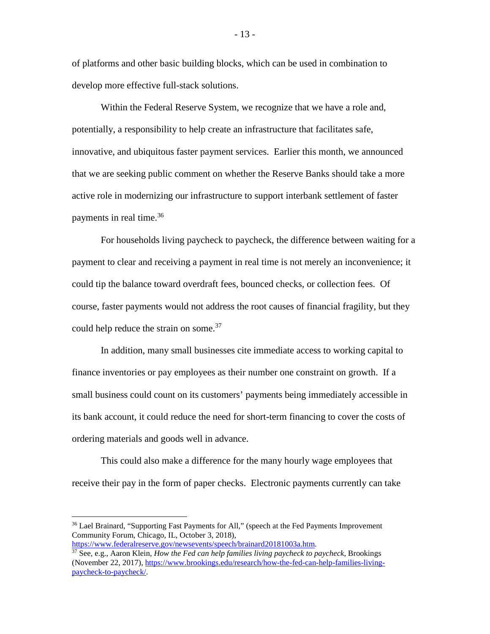of platforms and other basic building blocks, which can be used in combination to develop more effective full-stack solutions.

Within the Federal Reserve System, we recognize that we have a role and, potentially, a responsibility to help create an infrastructure that facilitates safe, innovative, and ubiquitous faster payment services. Earlier this month, we announced that we are seeking public comment on whether the Reserve Banks should take a more active role in modernizing our infrastructure to support interbank settlement of faster payments in real time.<sup>36</sup>

For households living paycheck to paycheck, the difference between waiting for a payment to clear and receiving a payment in real time is not merely an inconvenience; it could tip the balance toward overdraft fees, bounced checks, or collection fees. Of course, faster payments would not address the root causes of financial fragility, but they could help reduce the strain on some.<sup>37</sup>

In addition, many small businesses cite immediate access to working capital to finance inventories or pay employees as their number one constraint on growth. If a small business could count on its customers' payments being immediately accessible in its bank account, it could reduce the need for short-term financing to cover the costs of ordering materials and goods well in advance.

This could also make a difference for the many hourly wage employees that receive their pay in the form of paper checks. Electronic payments currently can take

<sup>&</sup>lt;sup>36</sup> Lael Brainard, "Supporting Fast Payments for All," (speech at the Fed Payments Improvement Community Forum, Chicago, IL, October 3, 2018),<br>https://www.federalreserve.gov/newsevents/speech/brainard20181003a.htm.

 $\frac{37}{10}$  See, e.g., Aaron Klein, *How the Fed can help families living paycheck to paycheck*, Brookings (November 22, 2017)[, https://www.brookings.edu/research/how-the-fed-can-help-families-living](https://www.brookings.edu/research/how-the-fed-can-help-families-living-paycheck-to-paycheck/)[paycheck-to-paycheck/.](https://www.brookings.edu/research/how-the-fed-can-help-families-living-paycheck-to-paycheck/)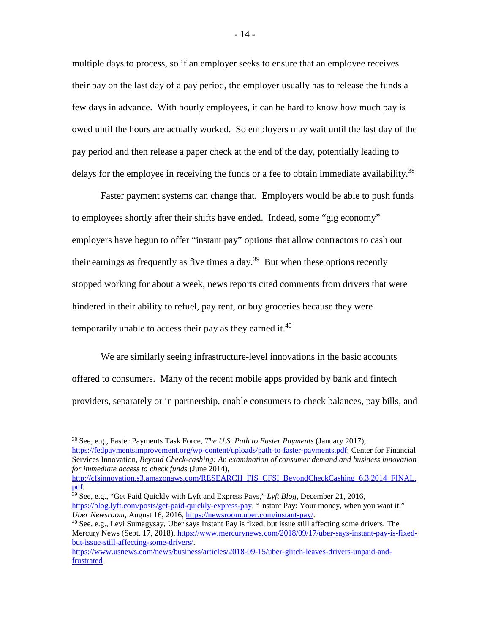multiple days to process, so if an employer seeks to ensure that an employee receives their pay on the last day of a pay period, the employer usually has to release the funds a few days in advance. With hourly employees, it can be hard to know how much pay is owed until the hours are actually worked. So employers may wait until the last day of the pay period and then release a paper check at the end of the day, potentially leading to delays for the employee in receiving the funds or a fee to obtain immediate availability.<sup>38</sup>

Faster payment systems can change that. Employers would be able to push funds to employees shortly after their shifts have ended. Indeed, some "gig economy" employers have begun to offer "instant pay" options that allow contractors to cash out their earnings as frequently as five times a day.<sup>39</sup> But when these options recently stopped working for about a week, news reports cited comments from drivers that were hindered in their ability to refuel, pay rent, or buy groceries because they were temporarily unable to access their pay as they earned it.<sup>40</sup>

We are similarly seeing infrastructure-level innovations in the basic accounts offered to consumers. Many of the recent mobile apps provided by bank and fintech providers, separately or in partnership, enable consumers to check balances, pay bills, and

pdf.<br><sup>39</sup> See, e.g., "Get Paid Quickly with Lyft and Express Pays," *Lyft Blog*, December 21, 2016, [https://blog.lyft.com/posts/get-paid-quickly-express-pay;](https://blog.lyft.com/posts/get-paid-quickly-express-pay) "Instant Pay: Your money, when you want it,"<br>Uber Newsroom, August 16, 2016, https://newsroom.uber.com/instant-pay/.

<sup>40</sup> See, e.g., Levi Sumagysay, Uber says Instant Pay is fixed, but issue still affecting some drivers, The Mercury News (Sept. 17, 2018)[, https://www.mercurynews.com/2018/09/17/uber-says-instant-pay-is-fixed](https://www.mercurynews.com/2018/09/17/uber-says-instant-pay-is-fixed-but-issue-still-affecting-some-drivers/)[but-issue-still-affecting-some-drivers/.](https://www.mercurynews.com/2018/09/17/uber-says-instant-pay-is-fixed-but-issue-still-affecting-some-drivers/)

 <sup>38</sup> See, e.g., Faster Payments Task Force, *The U.S. Path to Faster Payments* (January 2017), [https://fedpaymentsimprovement.org/wp-content/uploads/path-to-faster-payments.pdf;](https://fedpaymentsimprovement.org/wp-content/uploads/path-to-faster-payments.pdf) Center for Financial Services Innovation, *Beyond Check-cashing: An examination of consumer demand and business innovation for immediate access to check funds* (June 2014),

[http://cfsinnovation.s3.amazonaws.com/RESEARCH\\_FIS\\_CFSI\\_BeyondCheckCashing\\_6.3.2014\\_FINAL.](http://cfsinnovation.s3.amazonaws.com/RESEARCH_FIS_CFSI_BeyondCheckCashing_6.3.2014_FINAL.pdf)

[https://www.usnews.com/news/business/articles/2018-09-15/uber-glitch-leaves-drivers-unpaid-and](https://www.usnews.com/news/business/articles/2018-09-15/uber-glitch-leaves-drivers-unpaid-and-frustrated)[frustrated](https://www.usnews.com/news/business/articles/2018-09-15/uber-glitch-leaves-drivers-unpaid-and-frustrated)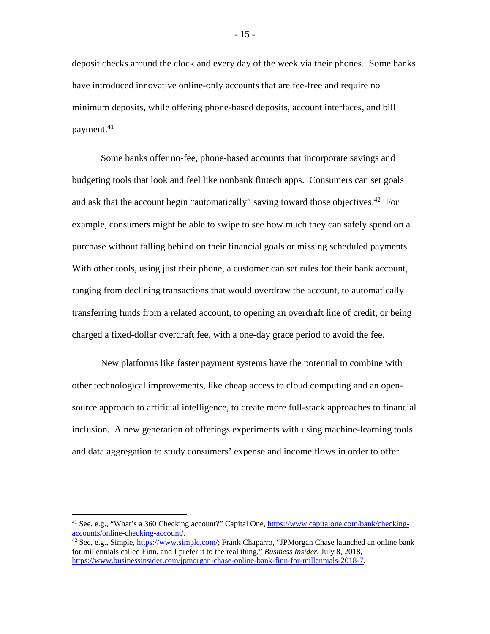deposit checks around the clock and every day of the week via their phones. Some banks have introduced innovative online-only accounts that are fee-free and require no minimum deposits, while offering phone-based deposits, account interfaces, and bill payment.41

Some banks offer no-fee, phone-based accounts that incorporate savings and budgeting tools that look and feel like nonbank fintech apps. Consumers can set goals and ask that the account begin "automatically" saving toward those objectives.<sup>42</sup> For example, consumers might be able to swipe to see how much they can safely spend on a purchase without falling behind on their financial goals or missing scheduled payments. With other tools, using just their phone, a customer can set rules for their bank account, ranging from declining transactions that would overdraw the account, to automatically transferring funds from a related account, to opening an overdraft line of credit, or being charged a fixed-dollar overdraft fee, with a one-day grace period to avoid the fee.

New platforms like faster payment systems have the potential to combine with other technological improvements, like cheap access to cloud computing and an opensource approach to artificial intelligence, to create more full-stack approaches to financial inclusion. A new generation of offerings experiments with using machine-learning tools and data aggregation to study consumers' expense and income flows in order to offer

<sup>&</sup>lt;sup>41</sup> See, e.g., "What's a 360 Checking account?" Capital One, https://www.capitalone.com/bank/checking-accounts/online-checking-account/.

 $\frac{42}{42}$  See, e.g., Simple, [https://www.simple.com/;](https://www.simple.com/) Frank Chaparro, "JPMorgan Chase launched an online bank for millennials called Finn, and I prefer it to the real thing," *Business Insider*, July 8, 2018, [https://www.businessinsider.com/jpmorgan-chase-online-bank-finn-for-millennials-2018-7.](https://www.businessinsider.com/jpmorgan-chase-online-bank-finn-for-millennials-2018-7)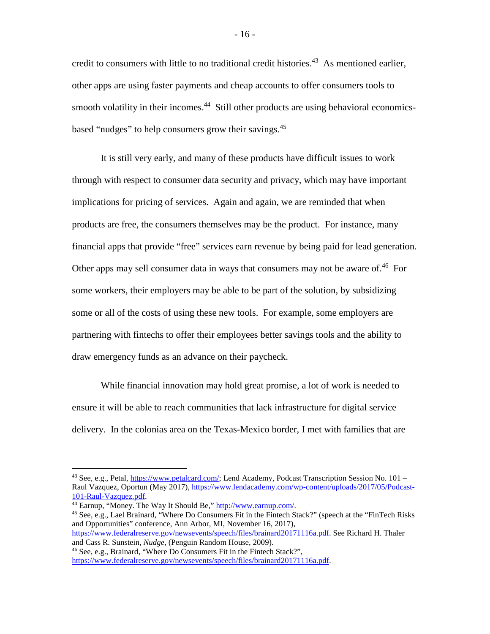credit to consumers with little to no traditional credit histories.<sup>43</sup> As mentioned earlier, other apps are using faster payments and cheap accounts to offer consumers tools to smooth volatility in their incomes.<sup>44</sup> Still other products are using behavioral economicsbased "nudges" to help consumers grow their savings.<sup>45</sup>

It is still very early, and many of these products have difficult issues to work through with respect to consumer data security and privacy, which may have important implications for pricing of services. Again and again, we are reminded that when products are free, the consumers themselves may be the product. For instance, many financial apps that provide "free" services earn revenue by being paid for lead generation. Other apps may sell consumer data in ways that consumers may not be aware of.<sup>46</sup> For some workers, their employers may be able to be part of the solution, by subsidizing some or all of the costs of using these new tools. For example, some employers are partnering with fintechs to offer their employees better savings tools and the ability to draw emergency funds as an advance on their paycheck.

While financial innovation may hold great promise, a lot of work is needed to ensure it will be able to reach communities that lack infrastructure for digital service delivery. In the colonias area on the Texas-Mexico border, I met with families that are

and Opportunities" conference, Ann Arbor, MI, November 16, 2017),

[https://www.federalreserve.gov/newsevents/speech/files/brainard20171116a.pdf.](https://www.federalreserve.gov/newsevents/speech/files/brainard20171116a.pdf) See Richard H. Thaler and Cass R. Sunstein, *Nudge*, (Penguin Random House, 2009).

<sup>43</sup> See, e.g., Petal, [https://www.petalcard.com/;](https://www.petalcard.com/) Lend Academy, Podcast Transcription Session No. 101 – Raul Vazquez, Oportun (May 2017)[, https://www.lendacademy.com/wp-content/uploads/2017/05/Podcast](https://www.lendacademy.com/wp-content/uploads/2017/05/Podcast-101-Raul-Vazquez.pdf)101-Raul-Vazquez.pdf.<br><sup>44</sup> Earnup, "Money. The Way It Should Be," [http://www.earnup.com/.](http://www.earnup.com/)<br><sup>45</sup> See, e.g., Lael Brainard, "Where Do Consumers Fit in the Fintech Stack?" (speech at the "FinTech Risks

<sup>46</sup> See, e.g., Brainard, "Where Do Consumers Fit in the Fintech Stack?", [https://www.federalreserve.gov/newsevents/speech/files/brainard20171116a.pdf.](https://www.federalreserve.gov/newsevents/speech/files/brainard20171116a.pdf)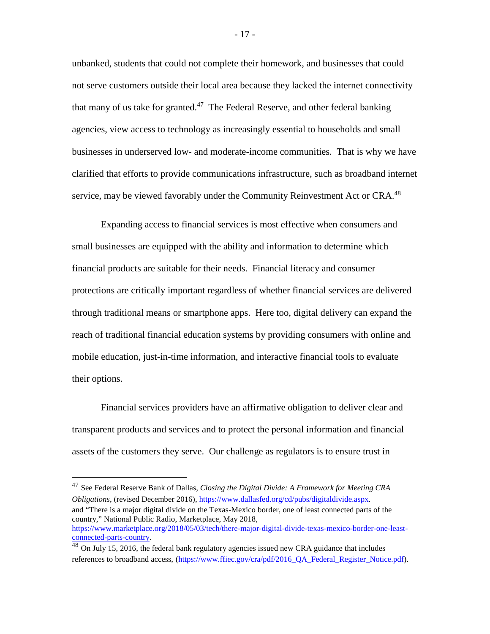unbanked, students that could not complete their homework, and businesses that could not serve customers outside their local area because they lacked the internet connectivity that many of us take for granted.<sup>47</sup> The Federal Reserve, and other federal banking agencies, view access to technology as increasingly essential to households and small businesses in underserved low- and moderate-income communities. That is why we have clarified that efforts to provide communications infrastructure, such as broadband internet service, may be viewed favorably under the Community Reinvestment Act or CRA.<sup>48</sup>

Expanding access to financial services is most effective when consumers and small businesses are equipped with the ability and information to determine which financial products are suitable for their needs. Financial literacy and consumer protections are critically important regardless of whether financial services are delivered through traditional means or smartphone apps. Here too, digital delivery can expand the reach of traditional financial education systems by providing consumers with online and mobile education, just-in-time information, and interactive financial tools to evaluate their options.

Financial services providers have an affirmative obligation to deliver clear and transparent products and services and to protect the personal information and financial assets of the customers they serve. Our challenge as regulators is to ensure trust in

 47 See Federal Reserve Bank of Dallas, *Closing the Digital Divide: A Framework for Meeting CRA Obligations*, (revised December 2016), [https://www.dallasfed.org/cd/pubs/digitaldivide.aspx.](https://www.dallasfed.org/cd/pubs/digitaldivide.aspx) and "There is a major digital divide on the Texas-Mexico border, one of least connected parts of the country," National Public Radio, Marketplace, May 2018, [https://www.marketplace.org/2018/05/03/tech/there-major-digital-divide-texas-mexico-border-one-least](https://www.marketplace.org/2018/05/03/tech/there-major-digital-divide-texas-mexico-border-one-least-connected-parts-country)[connected-parts-country.](https://www.marketplace.org/2018/05/03/tech/there-major-digital-divide-texas-mexico-border-one-least-connected-parts-country)

- 17 -

<sup>48</sup> On July 15, 2016, the federal bank regulatory agencies issued new CRA guidance that includes references to broadband access, [\(https://www.ffiec.gov/cra/pdf/2016\\_QA\\_Federal\\_Register\\_Notice.pdf\)](https://www.ffiec.gov/cra/pdf/2016_QA_Federal_Register_Notice.pdf).